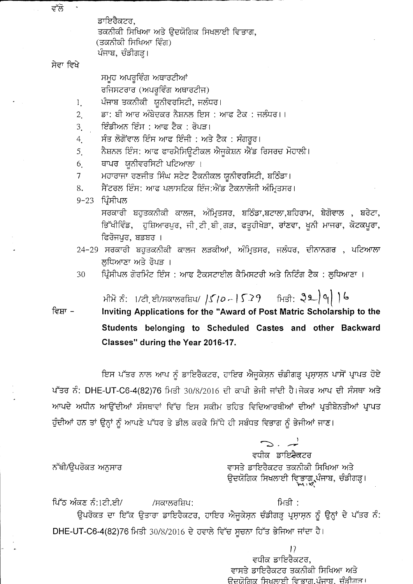ਡਾਇਰੈਕਟਰ, ਤਕਨੀਕੀ ਸਿਖਿਆ ਅਤੇ ਉਦਯੋਗਿਕ ਸਿਖਲਾਈ ਵਿਭਾਗ, (ਤਕਨੀਕੀ ਸਿਖਿਆ ਵਿੰਗ) ਪੰਜਾਬ, ਚੰਡੀਗੜ੍ਹ।

## ਸੇਵਾ ਵਿਖੇ

ਵੱਲੋ

ਸਮੁਹ ਅਪਰੁਵਿੰਗ ਅਥਾਰਟੀਆਂ ਰਜਿਸਟਰਾਰ (ਅਪਰੁਵਿੰਗ ਅਥਾਰਟੀਜ)

- ਪੰਜਾਬ ਤਕਨੀਕੀ ਯੂਨੀਵਰਸਿਟੀ, ਜਲੰਧਰ।  $\mathbf{1}$ .
- ਡਾ: ਬੀ ਆਰ ਅੰਬੇਦਕਰ ਨੈਸ਼ਨਲ ਇਸ : ਆਫ ਟੈਕ : ਜਲੰਧਰ।।  $\overline{2}$
- ਇੰਡੀਅਨ ਇੰਸ : ਆਫ ਟੈਕ : ਰੋਪੜ।  $3<sub>l</sub>$
- ਸੰਤ ਲੋਗੋਂਵਾਲ ਇੰਸ ਆਫ ਇੰਜੀ : ਅਤੇ ਟੈਕ : ਸੰਗਰੂਰ।  $4.$
- ਨੈਸ਼ਨਲ ਇੰਸ: ਆਫ ਫਾਰਮੈਸਿਊਟੀਕਲ ਐਜੁਕੇਸ਼ਨ ਐਂਡ ਰਿਸਰਚ ਮੋਹਾਲੀ।  $5<sub>l</sub>$
- ਥਾਪਰ ਯੂਨੀਵਰਸਿਟੀ ਪਟਿਆਲਾ ।  $6<sub>1</sub>$
- ਮਹਾਰਾਜਾ ਰਣਜੀਤ ਸਿੰਘ ਸਟੇਟ ਟੈਕਨੀਕਲ ਯੂਨੀਵਰਸਿਟੀ, ਬਠਿੰਡਾ।  $\overline{7}$
- 8. ਸੈਂਟਰਲ ਇੰਸ: ਆਫ ਪਲਾਸਟਿਕ ਇੰਜ:ਐਂਡ ਟੈਕਨਾਲੋਜੀ ਅੰਮ੍ਰਿਤਸਰ।
- 9-23 ਪ੍ਰਿੰਸੀਪਲ

ਸਰਕਾਰੀ ਬਹੁਤਕਨੀਕੀ ਕਾਲਜ, ਅੰਮ੍ਰਿਤਸਰ, ਬਠਿੰਡਾ,ਬਟਾਲਾ,ਬਹਿਰਾਮ, ਬੇਗੋਵਾਲ , ਬਰੇਟਾ, ਭਿੱਖੀਵਿੰਡ, ਹੁਸ਼ਿਆਰਪੁਰ, ਜੀ ਟੀ ਬੀ ਗੜ, ਫਤੁਹੀਖੇੜਾ, ਰਾਂਣਵਾ, ਖੁਨੀ ਮਾਜਰਾ, ਕੋਟਕਪੁਰਾ, ਫਿਰੋਜਪੁਰ, ਬਡਬਰ ।

- 24-29 ਸਰਕਾਰੀ ਬਹੁਤਕਨੀਕੀ ਕਾਲਜ ਲੜਕੀਆਂ, ਅੰਮ੍ਰਿਤਸਰ, ਜਲੰਧਰ, ਦੀਨਾਨਗਰ , ਪਟਿਆਲਾ ਲਧਿਆਣਾ ਅਤੇ ਰੋਪੜ ।
- ਪ੍ਰਿੰਸੀਪਲ ਗੋਰਮਿੰਟ ਇੰਸ : ਆਫ ਟੈਕਸਟਾਈਲ ਕੈਮਿਸਟਰੀ ਅਤੇ ਨਿਟਿੰਗ ਟੈਕ : ਲੁਧਿਆਣਾ । 30

ਮੀਮੋ ਨੰ:  $1$ /ਟੀ ਈ/ਸਕਾਲਰਸ਼ਿਪ/  $|S/\rho$  -  $|S$  ੇ  $9$  ਸਿਤੀ:  $|S_9\rangle$   $|o_1\rangle$  )  $|o_2\rangle$ 

Inviting Applications for the "Award of Post Matric Scholarship to the ਵਿਸ਼ਾ -Students belonging to Scheduled Castes and other Backward Classes" during the Year 2016-17.

ਇਸ ਪੱਤਰ ਨਾਲ ਆਪ ਨੂੰ ਡਾਇਰੈਕਟਰ, ਹਾਇਰ ਐਜੂਕੇਸ਼ਨ ਚੰਡੀਗੜ੍ਹ ਪ੍ਰਸ਼ਾਸ਼ਨ ਪਾਸੋਂ ਪ੍ਰਾਪਤ ਹੋਏ ਪੱਤਰ ਨੰ: DHE-UT-C6-4(82)76 ਮਿਤੀ 30/8/2016 ਦੀ ਕਾਪੀ ਭੇਜੀ ਜਾਂਦੀ ਹੈ।ਜੇਕਰ ਆਪ ਦੀ ਸੰਸਥਾ ਅਤੇ ਆਪਦੇ ਅਧੀਨ ਆਉਂਦੀਆਂ ਸੰਸਥਾਵਾਂ ਵਿੱਚ ਇਸ ਸਕੀਮ ਤਹਿਤ ਵਿਦਿਆਰਥੀਆਂ ਦੀਆਂ ਪ੍ਰਤੀਬੇਨਤੀਆਂ ਪ੍ਰਾਪਤ ਹੁੰਦੀਆਂ ਹਨ ਤਾਂ ਉਨ੍ਹਾਂ ਨੂੰ ਆਪਣੇ ਪੱਧਰ ਤੇ ਡੀਲ ਕਰਕੇ ਸਿੱਧੇ ਹੀ ਸਬੰਧਤ ਵਿਭਾਗ ਨੂੰ ਭੇਜੀਆਂ ਜਾਣ।

> $\mathbb{R}^n$  .  $\neq$ ਵਧੀਕ ਡਾਇ<del>ਟੈਕ</del>ਟਰ ਵਾਸਤੇ ਡਾਇਰੈਕਟਰ ਤਕਨੀਕੀ ਸਿਖਿਆ ਅਤੇ ਉਦਯੋਗਿਕ ਸਿਖਲਾਈ ਵਿਭਾਗ,ਪੰਜਾਬ, ਚੰਡੀਗੜ੍ਹ।<br>พ.ਆ.

## ਨੱਥੀ/ਉਪਰੋਕਤ ਅਨੁਸਾਰ

ਪਿੱਠ ਅੰਕਣ ਨੰ:1ਟੀ.ਈ/ ਮਿਤੀ : /ਸਕਾਲਰਸ਼ਿਪ: ਉਪਰੋਕਤ ਦਾ ਇੱਕ ਉਤਾਰਾ ਡਾਇਰੈਕਟਰ, ਹਾਇਰ ਐਜੁਕੇਸ਼ਨ ਚੰਡੀਗੜ੍ਹ ਪ੍ਰਸ਼ਾਸ਼ਨ ਨੂੰ ਉਨ੍ਹਾਂ ਦੇ ਪੱਤਰ ਨੰ: DHE-UT-C6-4(82)76 ਮਿਤੀ 30/8/2016 ਦੇ ਹਵਾਲੇ ਵਿੱਚ ਸੂਚਨਾ ਹਿੱਤ ਭੇਜਿਆ ਜਾਂਦਾ ਹੈ।

> $17$ ਵਧੀਕ ਡਾਇਰੈਕਟਰ, ਵਾਸਤੇ ਡਾਇਰੈਕਟਰ ਤਕਨੀਕੀ ਸਿਖਿਆ ਅਤੇ ਉਦਯੋਗਿਕ ਸਿਖਲਾਈ ਵਿਭਾਗ,ਪੰਜਾਬ, ਚੰਡੀਗਤ।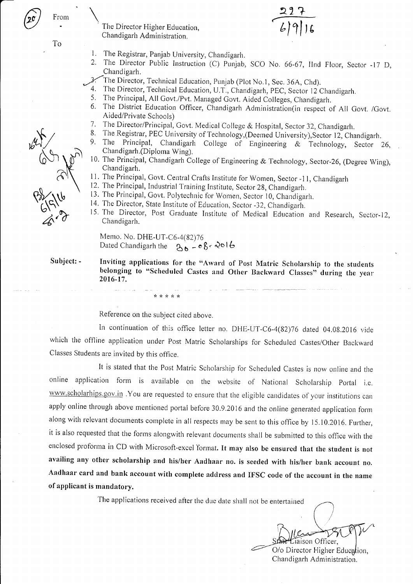To

From

- The Director Higher Education, Chandigarh Administration.
- $1.$ The Registrar, Panjab University, Chandigarh.
- $2.$ The Director Public Instruction (C) Punjab, SCO No. 66-67, IInd Floor, Sector -17 D, Chandigarh.
- The Director, Technical Education, Punjab (Plot No.1, Sec. 36A, Chd).
- 4. The Director, Technical Education, U.T., Chandigarh, PEC, Sector 12 Chandigarh.
- 5. The Principal, All Govt./Pvt. Managed Govt. Aided Colleges, Chandigarh.
- 6. The District Education Officer, Chandigarh Administration(in respect of All Govt. /Govt. Aided/Private Schools)
- 7. The Director/Principal, Govt. Medical College & Hospital, Sector 32, Chandigarh.
- 8. The Registrar, PEC University of Technology, (Deemed University), Sector 12, Chandigarh.
- 9. Principal, Chandigarh College of Engineering & Technology, Sector 26, The Chandigarh.(Diploma Wing).
- 10. The Principal, Chandigarh College of Engineering & Technology, Sector-26, (Degree Wing), Chandigarh.
- 11. The Principal, Govt. Central Crafts Institute for Women, Sector -11, Chandigarh
- 12. The Principal, Industrial Training Institute, Sector 28, Chandigarh.
- 13. The Principal, Govt. Polytechnic for Women, Sector 10, Chandigarh.
- 14. The Director, State Institute of Education, Sector -32, Chandigarh.
- 15. The Director, Post Graduate Institute of Medical Education and Research, Sector-12, Chandigarh.

Memo. No. DHE-UT-C6-4(82)76 Dated Chandigarh the  $26 - 86$  - 2016

\* \* \* \* \*

Subject: -

Inviting applications for the "Award of Post Matric Scholarship to the students belonging to "Scheduled Castes and Other Backward Classes" during the year 2016-17.

Reference on the subject cited above.

In continuation of this office letter no. DHE-UT-C6-4(82)76 dated 04.08.2016 vide which the offline application under Post Matric Scholarships for Scheduled Castes/Other Backward Classes Students are invited by this office.

It is stated that the Post Matric Scholarship for Scheduled Castes is now online and the online application form is available on the website of National Scholarship Portal i.e. www.scholarhips.gov.in. You are requested to ensure that the eligible candidates of your institutions can apply online through above mentioned portal before 30.9.2016 and the online generated application form along with relevant documents complete in all respects may be sent to this office by 15.10.2016. Further, it is also requested that the forms alongwith relevant documents shall be submitted to this office with the enclosed proforma in CD with Microsoft-excel format. It may also be ensured that the student is not availing any other scholarship and his/her Aadhaar no. is seeded with his/her bank account no. Aadhaar card and bank account with complete address and IFSC code of the account in the name of applicant is mandatory.

The applications received after the due date shall not be entertained

Liaison Officer, O/o Director Higher Education,

Chandigarh Administration.